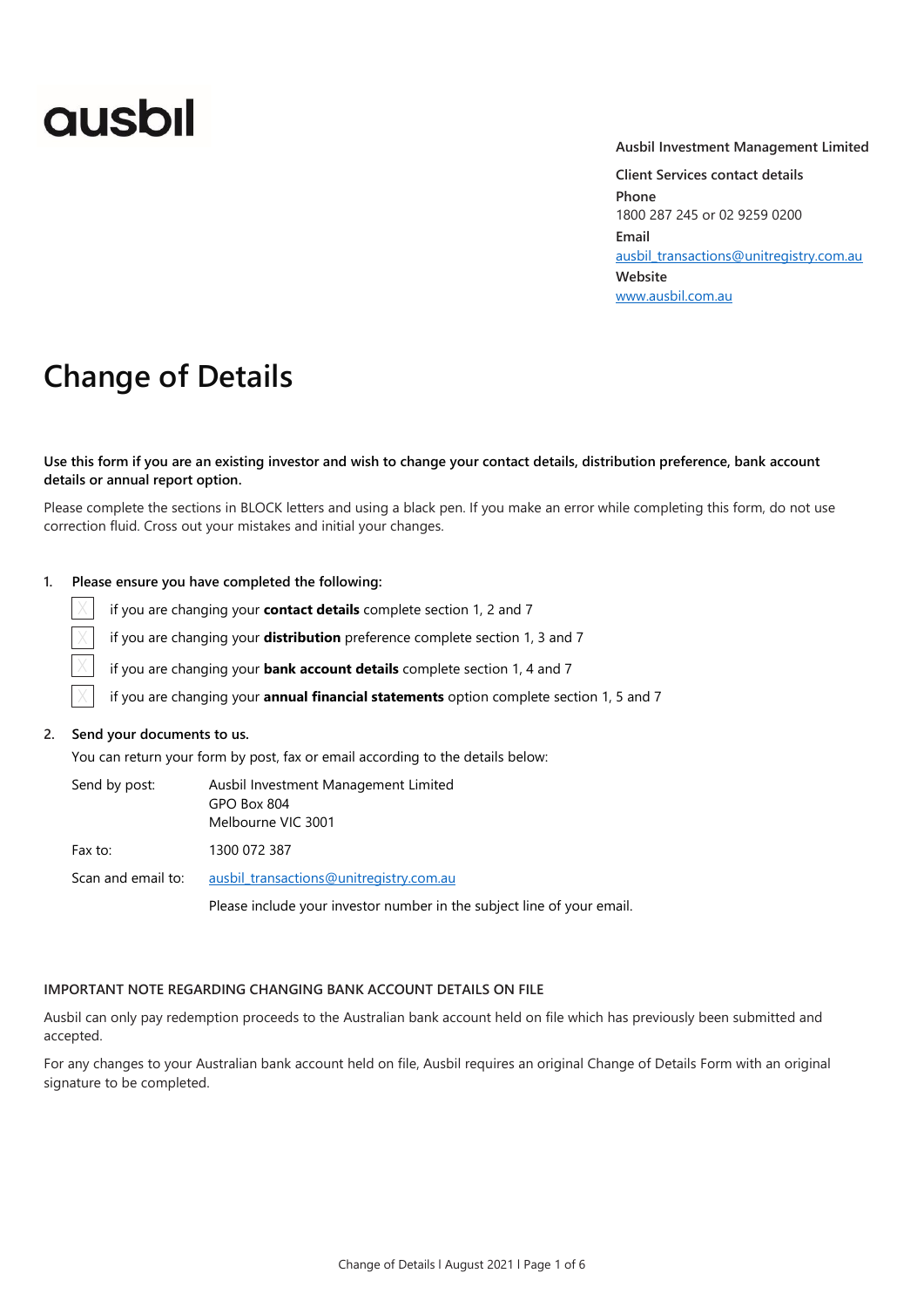# **ausbil**

#### **Ausbil Investment Management Limited**

**Client Services contact details Phone** 1800 287 245 or 02 9259 0200 **Email** [ausbil\\_transactions@unitregistry.com.au](mailto:ausbil_transactions@unitregistry.com.au) **Website** [www.ausbil.com.au](http://www.ausbil.com.au/)

# **Change of Details**

#### **Use this form if you are an existing investor and wish to change your contact details, distribution preference, bank account details or annual report option.**

Please complete the sections in BLOCK letters and using a black pen. If you make an error while completing this form, do not use correction fluid. Cross out your mistakes and initial your changes.

### **1. Please ensure you have completed the following:**

if you are changing your **contact details** complete section 1, 2 and 7

if you are changing your **distribution** preference complete section 1, 3 and 7

if you are changing your **bank account details** complete section 1, 4 and 7

if you are changing your **annual financial statements** option complete section 1, 5 and 7

#### **2. Send your documents to us.**

 $\times$ 

 $\times$ X

 $\times$ 

You can return your form by post, fax or email according to the details below:

| Send by post:      | Ausbil Investment Management Limited<br>GPO Box 804<br>Melbourne VIC 3001 |
|--------------------|---------------------------------------------------------------------------|
| Fax to:            | 1300 072 387                                                              |
| Scan and email to: | ausbil transactions@unitregistry.com.au                                   |
|                    | Please include your investor number in the subject line of your email.    |

#### **IMPORTANT NOTE REGARDING CHANGING BANK ACCOUNT DETAILS ON FILE**

Ausbil can only pay redemption proceeds to the Australian bank account held on file which has previously been submitted and accepted.

For any changes to your Australian bank account held on file, Ausbil requires an original Change of Details Form with an original signature to be completed.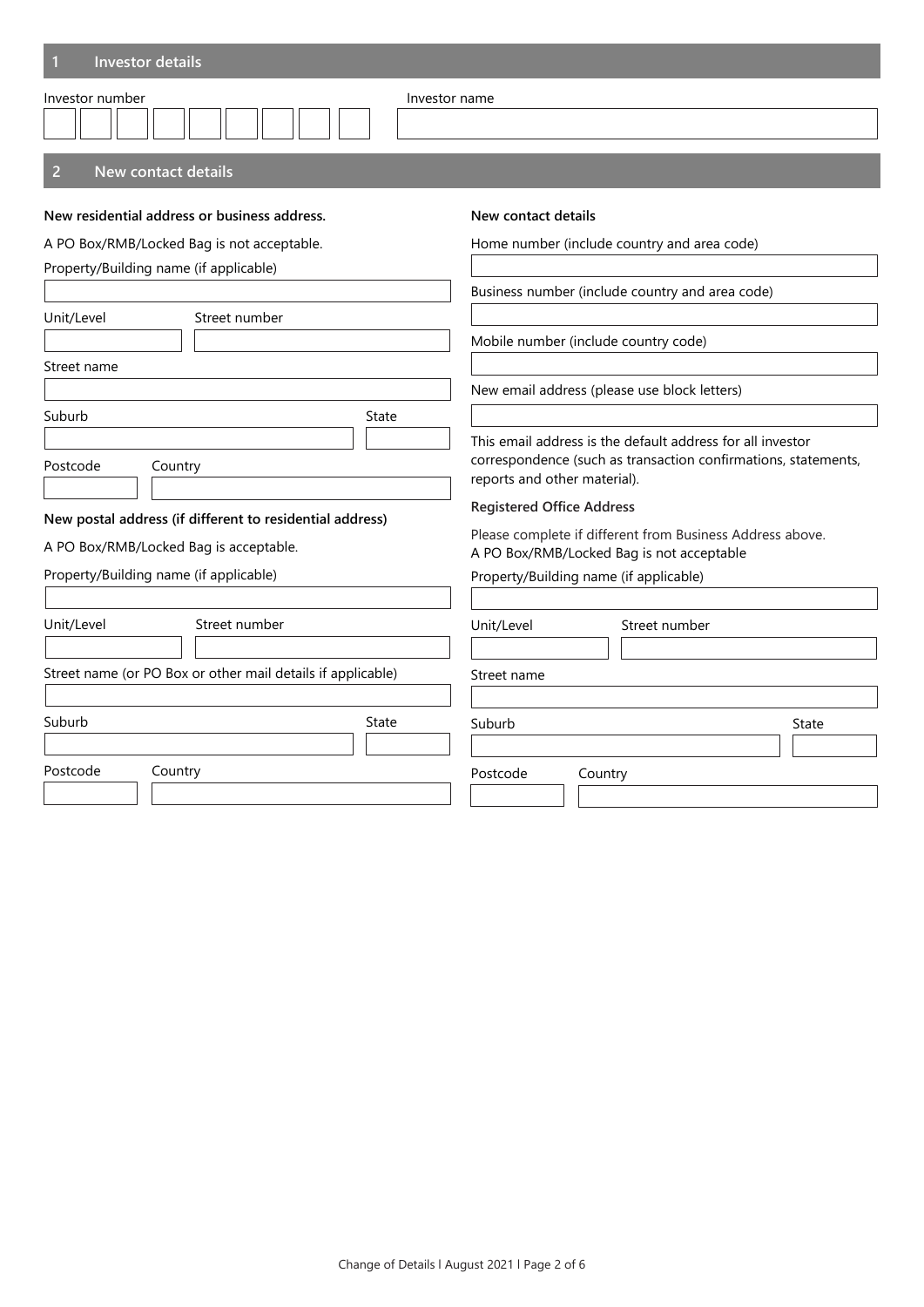| Investor details                                            |                                                                                                                                                              |  |
|-------------------------------------------------------------|--------------------------------------------------------------------------------------------------------------------------------------------------------------|--|
| Investor number<br>Investor name                            |                                                                                                                                                              |  |
| $\overline{2}$<br><b>New contact details</b>                |                                                                                                                                                              |  |
| New residential address or business address.                | New contact details                                                                                                                                          |  |
| A PO Box/RMB/Locked Bag is not acceptable.                  | Home number (include country and area code)                                                                                                                  |  |
| Property/Building name (if applicable)                      |                                                                                                                                                              |  |
|                                                             | Business number (include country and area code)                                                                                                              |  |
| Unit/Level<br>Street number                                 |                                                                                                                                                              |  |
|                                                             | Mobile number (include country code)                                                                                                                         |  |
| Street name                                                 |                                                                                                                                                              |  |
|                                                             | New email address (please use block letters)                                                                                                                 |  |
| Suburb<br>State                                             |                                                                                                                                                              |  |
| Postcode<br>Country                                         | This email address is the default address for all investor<br>correspondence (such as transaction confirmations, statements,<br>reports and other material). |  |
| New postal address (if different to residential address)    | <b>Registered Office Address</b>                                                                                                                             |  |
| A PO Box/RMB/Locked Bag is acceptable.                      | Please complete if different from Business Address above.<br>A PO Box/RMB/Locked Bag is not acceptable                                                       |  |
| Property/Building name (if applicable)                      | Property/Building name (if applicable)                                                                                                                       |  |
|                                                             |                                                                                                                                                              |  |
| Unit/Level<br>Street number                                 | Unit/Level<br>Street number                                                                                                                                  |  |
| Street name (or PO Box or other mail details if applicable) | Street name                                                                                                                                                  |  |
| Suburb<br>State                                             | Suburb<br>State                                                                                                                                              |  |
| Postcode<br>Country                                         | Postcode<br>Country                                                                                                                                          |  |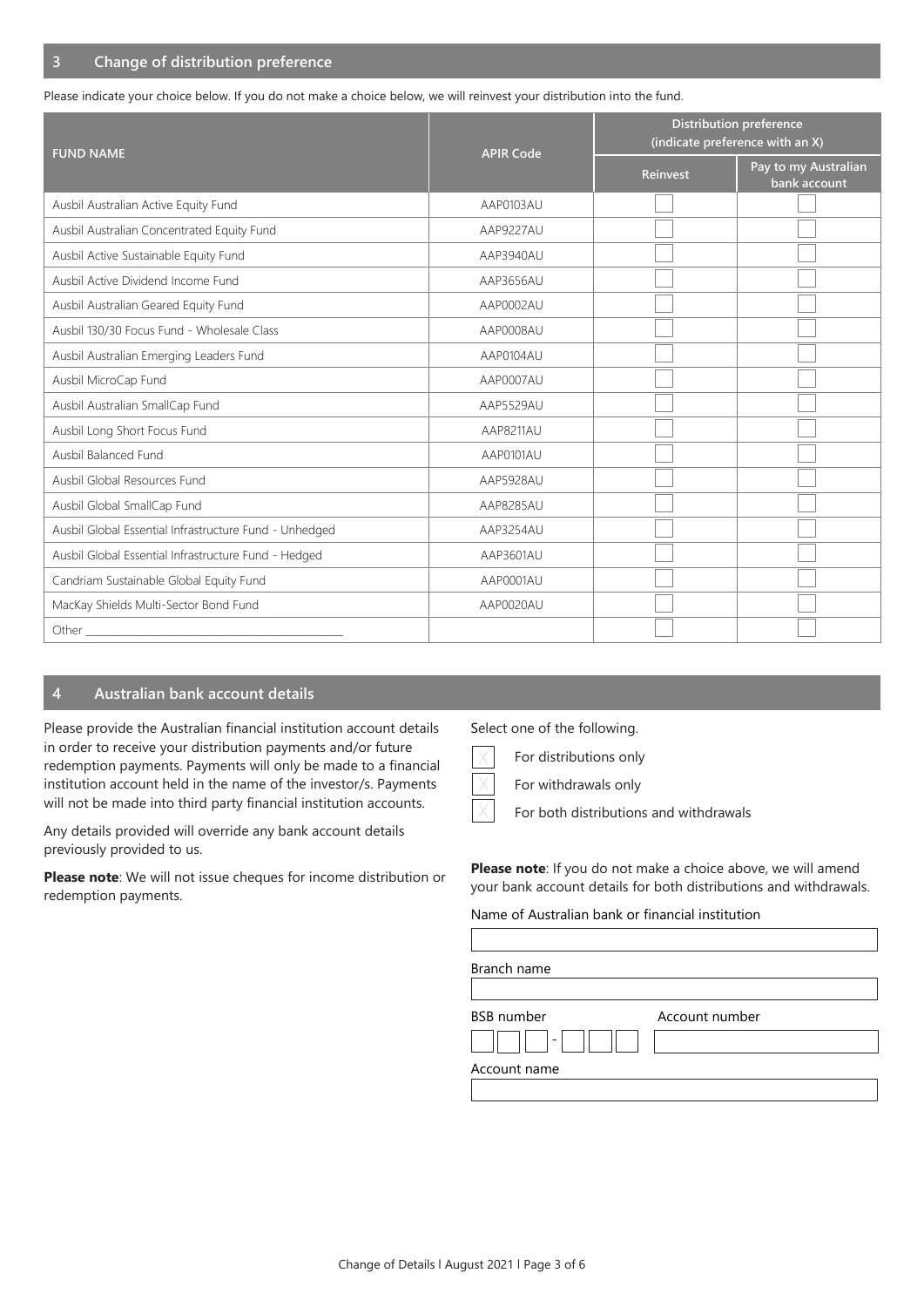## **3 Change of distribution preference**

Please indicate your choice below. If you do not make a choice below, we will reinvest your distribution into the fund.

| <b>FUND NAME</b>                                       | <b>APIR Code</b> | <b>Distribution preference</b><br>(indicate preference with an X) |                                      |
|--------------------------------------------------------|------------------|-------------------------------------------------------------------|--------------------------------------|
|                                                        |                  | <b>Reinvest</b>                                                   | Pay to my Australian<br>bank account |
| Ausbil Australian Active Equity Fund                   | AAP0103AU        |                                                                   |                                      |
| Ausbil Australian Concentrated Equity Fund             | AAP9227AU        |                                                                   |                                      |
| Ausbil Active Sustainable Equity Fund                  | AAP3940AU        |                                                                   |                                      |
| Ausbil Active Dividend Income Fund                     | AAP3656AU        |                                                                   |                                      |
| Ausbil Australian Geared Equity Fund                   | AAP0002AU        |                                                                   |                                      |
| Ausbil 130/30 Focus Fund - Wholesale Class             | AAP0008AU        |                                                                   |                                      |
| Ausbil Australian Emerging Leaders Fund                | AAP0104AU        |                                                                   |                                      |
| Ausbil MicroCap Fund                                   | AAP0007AU        |                                                                   |                                      |
| Ausbil Australian SmallCap Fund                        | AAP5529AU        |                                                                   |                                      |
| Ausbil Long Short Focus Fund                           | AAP8211AU        |                                                                   |                                      |
| Ausbil Balanced Fund                                   | AAP0101AU        |                                                                   |                                      |
| Ausbil Global Resources Fund                           | AAP5928AU        |                                                                   |                                      |
| Ausbil Global SmallCap Fund                            | AAP8285AU        |                                                                   |                                      |
| Ausbil Global Essential Infrastructure Fund - Unhedged | AAP3254AU        |                                                                   |                                      |
| Ausbil Global Essential Infrastructure Fund - Hedged   | AAP3601AU        |                                                                   |                                      |
| Candriam Sustainable Global Equity Fund                | AAP0001AU        |                                                                   |                                      |
| MacKay Shields Multi-Sector Bond Fund                  | AAP0020AU        |                                                                   |                                      |
| Other <sub>________</sub>                              |                  |                                                                   |                                      |

## **4 Australian bank account details**

Please provide the Australian financial institution account details in order to receive your distribution payments and/or future redemption payments. Payments will only be made to a financial institution account held in the name of the investor/s. Payments will not be made into third party financial institution accounts.

Any details provided will override any bank account details previously provided to us.

**Please note**: We will not issue cheques for income distribution or redemption payments.

Select one of the following.

For distributions only X

 $\times$ 

For withdrawals only

For both distributions and withdrawals X

**Please note**: If you do not make a choice above, we will amend your bank account details for both distributions and withdrawals.

#### Name of Australian bank or financial institution

| Branch name       |                |  |
|-------------------|----------------|--|
| <b>BSB</b> number | Account number |  |
|                   |                |  |
| Account name      |                |  |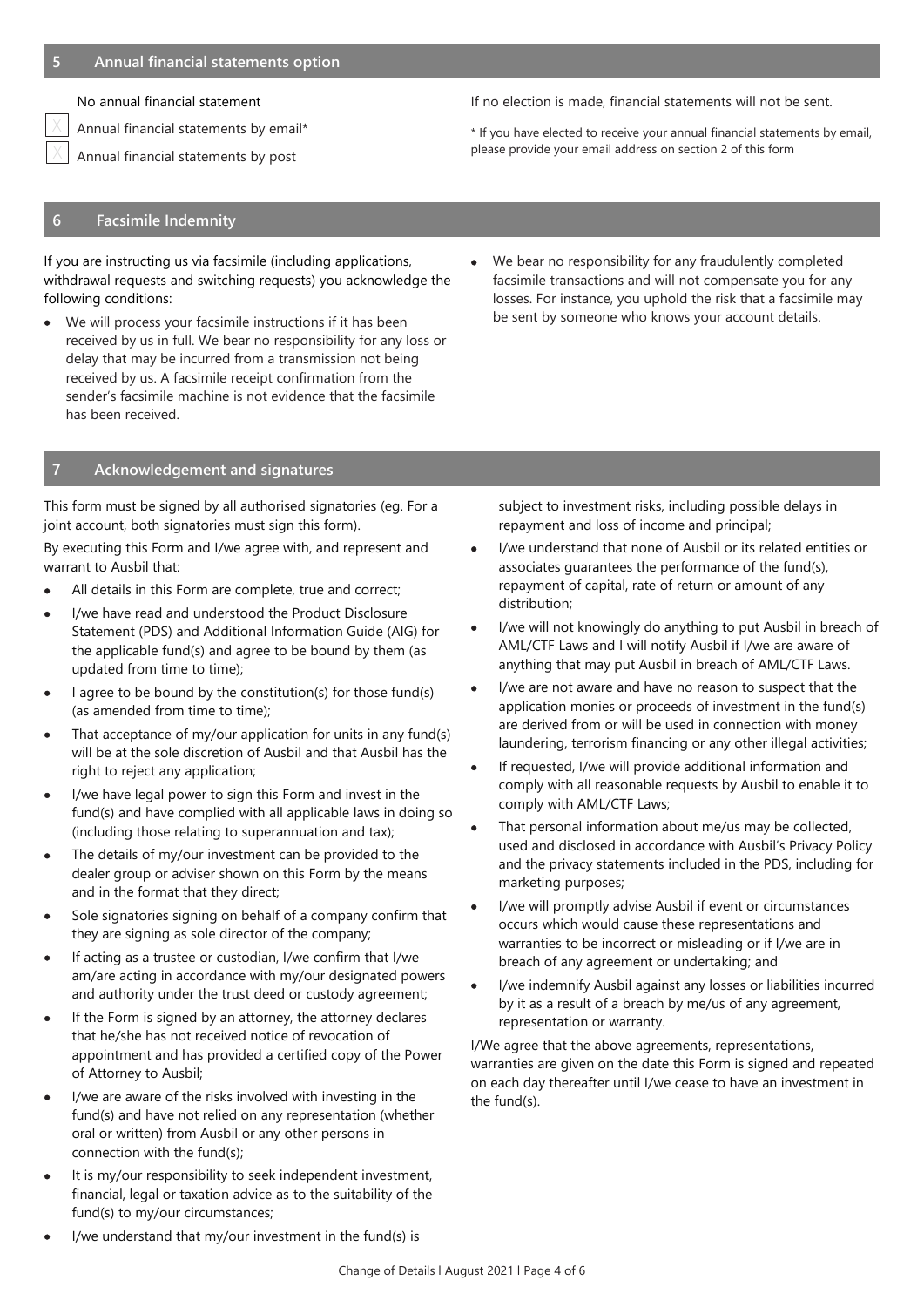No annual financial statement

Annual financial statements by email\*

Annual financial statements by post X

If no election is made, financial statements will not be sent.

\* If you have elected to receive your annual financial statements by email, please provide your email address on section 2 of this form

# **6 Facsimile Indemnity**

If you are instructing us via facsimile (including applications, withdrawal requests and switching requests) you acknowledge the following conditions:

• We will process your facsimile instructions if it has been received by us in full. We bear no responsibility for any loss or delay that may be incurred from a transmission not being received by us. A facsimile receipt confirmation from the sender's facsimile machine is not evidence that the facsimile has been received.

#### **7 Acknowledgement and signatures**

This form must be signed by all authorised signatories (eg. For a joint account, both signatories must sign this form).

By executing this Form and I/we agree with, and represent and warrant to Ausbil that:

- All details in this Form are complete, true and correct;
- I/we have read and understood the Product Disclosure Statement (PDS) and Additional Information Guide (AIG) for the applicable fund(s) and agree to be bound by them (as updated from time to time);
- I agree to be bound by the constitution(s) for those fund(s) (as amended from time to time);
- That acceptance of my/our application for units in any fund(s) will be at the sole discretion of Ausbil and that Ausbil has the right to reject any application;
- I/we have legal power to sign this Form and invest in the fund(s) and have complied with all applicable laws in doing so (including those relating to superannuation and tax);
- The details of my/our investment can be provided to the dealer group or adviser shown on this Form by the means and in the format that they direct;
- Sole signatories signing on behalf of a company confirm that they are signing as sole director of the company;
- If acting as a trustee or custodian, I/we confirm that I/we am/are acting in accordance with my/our designated powers and authority under the trust deed or custody agreement;
- If the Form is signed by an attorney, the attorney declares that he/she has not received notice of revocation of appointment and has provided a certified copy of the Power of Attorney to Ausbil;
- I/we are aware of the risks involved with investing in the fund(s) and have not relied on any representation (whether oral or written) from Ausbil or any other persons in connection with the fund(s);
- It is my/our responsibility to seek independent investment, financial, legal or taxation advice as to the suitability of the fund(s) to my/our circumstances;

• We bear no responsibility for any fraudulently completed facsimile transactions and will not compensate you for any losses. For instance, you uphold the risk that a facsimile may be sent by someone who knows your account details.

subject to investment risks, including possible delays in repayment and loss of income and principal;

- I/we understand that none of Ausbil or its related entities or associates guarantees the performance of the fund(s), repayment of capital, rate of return or amount of any distribution;
- I/we will not knowingly do anything to put Ausbil in breach of AML/CTF Laws and I will notify Ausbil if I/we are aware of anything that may put Ausbil in breach of AML/CTF Laws.
- I/we are not aware and have no reason to suspect that the application monies or proceeds of investment in the fund(s) are derived from or will be used in connection with money laundering, terrorism financing or any other illegal activities;
- If requested, I/we will provide additional information and comply with all reasonable requests by Ausbil to enable it to comply with AML/CTF Laws;
- That personal information about me/us may be collected, used and disclosed in accordance with Ausbil's Privacy Policy and the privacy statements included in the PDS, including for marketing purposes;
- I/we will promptly advise Ausbil if event or circumstances occurs which would cause these representations and warranties to be incorrect or misleading or if I/we are in breach of any agreement or undertaking; and
- I/we indemnify Ausbil against any losses or liabilities incurred by it as a result of a breach by me/us of any agreement, representation or warranty.

I/We agree that the above agreements, representations, warranties are given on the date this Form is signed and repeated on each day thereafter until I/we cease to have an investment in the fund(s).

I/we understand that my/our investment in the fund(s) is

X